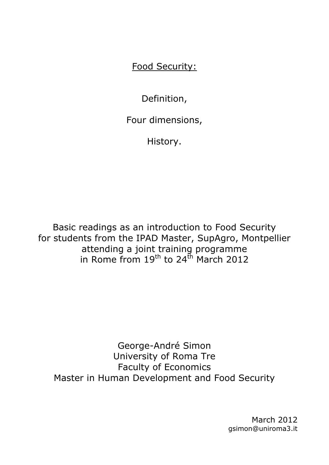Food Security:

Definition,

Four dimensions,

History.

Basic readings as an introduction to Food Security for students from the IPAD Master, SupAgro, Montpellier attending a joint training programme in Rome from  $19^{th}$  to 24<sup>th</sup> March 2012

George-André Simon University of Roma Tre Faculty of Economics Master in Human Development and Food Security

> March 2012 gsimon@uniroma3.it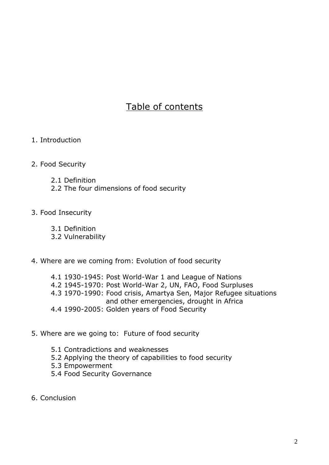# Table of contents

1. Introduction

#### 2. Food Security

- 2.1 Definition
- 2.2 The four dimensions of food security

#### 3. Food Insecurity

- 3.1 Definition
- 3.2 Vulnerability

#### 4. Where are we coming from: Evolution of food security

- 4.1 1930-1945: Post World-War 1 and League of Nations
- 4.2 1945-1970: Post World-War 2, UN, FAO, Food Surpluses
- 4.3 1970-1990: Food crisis, Amartya Sen, Major Refugee situations and other emergencies, drought in Africa
- 4.4 1990-2005: Golden years of Food Security

#### 5. Where are we going to: Future of food security

- 5.1 Contradictions and weaknesses
- 5.2 Applying the theory of capabilities to food security
- 5.3 Empowerment
- 5.4 Food Security Governance
- 6. Conclusion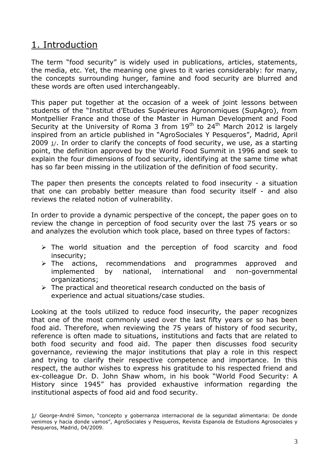## 1. Introduction

The term "food security" is widely used in publications, articles, statements, the media, etc. Yet, the meaning one gives to it varies considerably: for many, the concepts surrounding hunger, famine and food security are blurred and these words are often used interchangeably.

This paper put together at the occasion of a week of joint lessons between students of the "Institut d'Etudes Supérieures Agronomiques (SupAgro), from Montpellier France and those of the Master in Human Development and Food Security at the University of Roma 3 from  $19<sup>th</sup>$  to 24<sup>th</sup> March 2012 is largely inspired from an article published in "AgroSociales Y Pesqueros", Madrid, April 2009 1/. In order to clarify the concepts of food security, we use, as a starting point, the definition approved by the World Food Summit in 1996 and seek to explain the four dimensions of food security, identifying at the same time what has so far been missing in the utilization of the definition of food security.

The paper then presents the concepts related to food insecurity - a situation that one can probably better measure than food security itself - and also reviews the related notion of vulnerability.

In order to provide a dynamic perspective of the concept, the paper goes on to review the change in perception of food security over the last 75 years or so and analyzes the evolution which took place, based on three types of factors:

- $\triangleright$  The world situation and the perception of food scarcity and food insecurity;
- > The actions, recommendations and programmes approved and implemented by national, international and non-governmental organizations;
- $\triangleright$  The practical and theoretical research conducted on the basis of experience and actual situations/case studies.

Looking at the tools utilized to reduce food insecurity, the paper recognizes that one of the most commonly used over the last fifty years or so has been food aid. Therefore, when reviewing the 75 years of history of food security, reference is often made to situations, institutions and facts that are related to both food security and food aid. The paper then discusses food security governance, reviewing the major institutions that play a role in this respect and trying to clarify their respective competence and importance. In this respect, the author wishes to express his gratitude to his respected friend and ex-colleague Dr. D. John Shaw whom, in his book "World Food Security: A History since 1945" has provided exhaustive information regarding the institutional aspects of food aid and food security.

<sup>1/</sup> George-André Simon, "concepto y gobernanza internacional de la seguridad alimentaria: De donde venimos y hacia donde vamos", AgroSociales y Pesqueros, Revista Espanola de Estudions Agrosociales y Pesqueros, Madrid, 04/2009.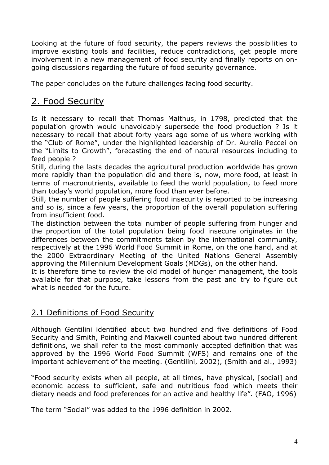Looking at the future of food security, the papers reviews the possibilities to improve existing tools and facilities, reduce contradictions, get people more involvement in a new management of food security and finally reports on ongoing discussions regarding the future of food security governance.

The paper concludes on the future challenges facing food security.

# 2. Food Security

Is it necessary to recall that Thomas Malthus, in 1798, predicted that the population growth would unavoidably supersede the food production ? Is it necessary to recall that about forty years ago some of us where working with the "Club of Rome", under the highlighted leadership of Dr. Aurelio Peccei on the "Limits to Growth", forecasting the end of natural resources including to feed people ?

Still, during the lasts decades the agricultural production worldwide has grown more rapidly than the population did and there is, now, more food, at least in terms of macronutrients, available to feed the world population, to feed more than today's world population, more food than ever before.

Still, the number of people suffering food insecurity is reported to be increasing and so is, since a few years, the proportion of the overall population suffering from insufficient food.

The distinction between the total number of people suffering from hunger and the proportion of the total population being food insecure originates in the differences between the commitments taken by the international community, respectively at the 1996 World Food Summit in Rome, on the one hand, and at the 2000 Extraordinary Meeting of the United Nations General Assembly approving the Millennium Development Goals (MDGs), on the other hand.

It is therefore time to review the old model of hunger management, the tools available for that purpose, take lessons from the past and try to figure out what is needed for the future.

## 2.1 Definitions of Food Security

Although Gentilini identified about two hundred and five definitions of Food Security and Smith, Pointing and Maxwell counted about two hundred different definitions, we shall refer to the most commonly accepted definition that was approved by the 1996 World Food Summit (WFS) and remains one of the important achievement of the meeting. (Gentilini, 2002), (Smith and al., 1993)

"Food security exists when all people, at all times, have physical, [social] and economic access to sufficient, safe and nutritious food which meets their dietary needs and food preferences for an active and healthy life". (FAO, 1996)

The term "Social" was added to the 1996 definition in 2002.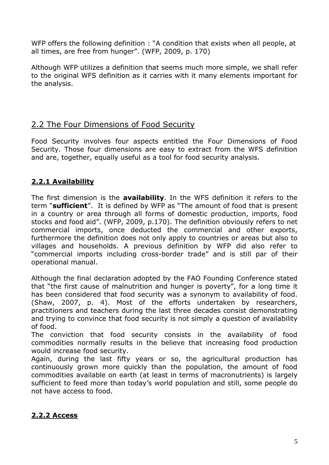WFP offers the following definition : "A condition that exists when all people, at all times, are free from hunger". (WFP, 2009, p. 170)

Although WFP utilizes a definition that seems much more simple, we shall refer to the original WFS definition as it carries with it many elements important for the analysis.

## 2.2 The Four Dimensions of Food Security

Food Security involves four aspects entitled the Four Dimensions of Food Security. Those four dimensions are easy to extract from the WFS definition and are, together, equally useful as a tool for food security analysis.

## **2.2.1 Availability**

The first dimension is the **availability**. In the WFS definition it refers to the term "**sufficient**". It is defined by WFP as "The amount of food that is present in a country or area through all forms of domestic production, imports, food stocks and food aid". (WFP, 2009, p.170). The definition obviously refers to net commercial imports, once deducted the commercial and other exports, furthermore the definition does not only apply to countries or areas but also to villages and households. A previous definition by WFP did also refer to "commercial imports including cross-border trade" and is still par of their operational manual.

Although the final declaration adopted by the FAO Founding Conference stated that "the first cause of malnutrition and hunger is poverty", for a long time it has been considered that food security was a synonym to availability of food. (Shaw, 2007, p. 4). Most of the efforts undertaken by researchers, practitioners and teachers during the last three decades consist demonstrating and trying to convince that food security is not simply a question of availability of food.

The conviction that food security consists in the availability of food commodities normally results in the believe that increasing food production would increase food security.

Again, during the last fifty years or so, the agricultural production has continuously grown more quickly than the population, the amount of food commodities available on earth (at least in terms of macronutrients) is largely sufficient to feed more than today's world population and still, some people do not have access to food.

## **2.2.2 Access**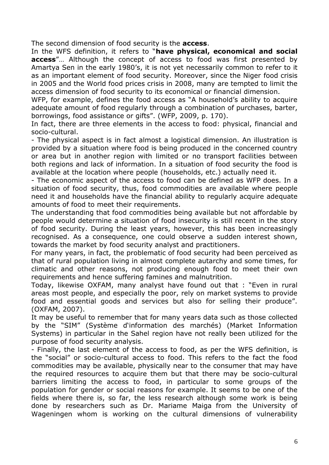The second dimension of food security is the **access**.

In the WFS definition, it refers to "**have physical, economical and social access**"… Although the concept of access to food was first presented by Amartya Sen in the early 1980's, it is not yet necessarily common to refer to it as an important element of food security. Moreover, since the Niger food crisis in 2005 and the World food prices crisis in 2008, many are tempted to limit the access dimension of food security to its economical or financial dimension.

WFP, for example, defines the food access as "A household's ability to acquire adequate amount of food regularly through a combination of purchases, barter, borrowings, food assistance or gifts". (WFP, 2009, p. 170).

In fact, there are three elements in the access to food: physical, financial and socio-cultural.

- The physical aspect is in fact almost a logistical dimension. An illustration is provided by a situation where food is being produced in the concerned country or area but in another region with limited or no transport facilities between both regions and lack of information. In a situation of food security the food is available at the location where people (households, etc.) actually need it.

- The economic aspect of the access to food can be defined as WFP does. In a situation of food security, thus, food commodities are available where people need it and households have the financial ability to regularly acquire adequate amounts of food to meet their requirements.

The understanding that food commodities being available but not affordable by people would determine a situation of food insecurity is still recent in the story of food security. During the least years, however, this has been increasingly recognised. As a consequence, one could observe a sudden interest shown, towards the market by food security analyst and practitioners.

For many years, in fact, the problematic of food security had been perceived as that of rural population living in almost complete autarchy and some times, for climatic and other reasons, not producing enough food to meet their own requirements and hence suffering famines and malnutrition.

Today, likewise OXFAM, many analyst have found out that : "Even in rural areas most people, and especially the poor, rely on market systems to provide food and essential goods and services but also for selling their produce". (OXFAM, 2007).

It may be useful to remember that for many years data such as those collected by the "SIM" (Système d'information des marchés) (Market Information Systems) in particular in the Sahel region have not really been utilized for the purpose of food security analysis.

- Finally, the last element of the access to food, as per the WFS definition, is the "social" or socio-cultural access to food. This refers to the fact the food commodities may be available, physically near to the consumer that may have the required resources to acquire them but that there may be socio-cultural barriers limiting the access to food, in particular to some groups of the population for gender or social reasons for example. It seems to be one of the fields where there is, so far, the less research although some work is being done by researchers such as Dr. Mariame Maiga from the University of Wageningen whom is working on the cultural dimensions of vulnerability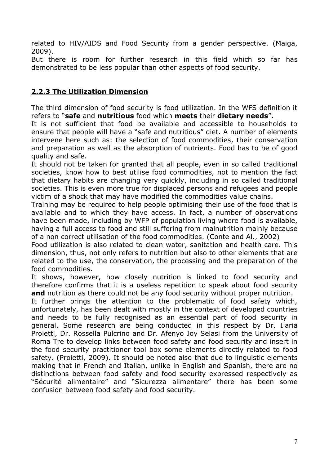related to HIV/AIDS and Food Security from a gender perspective. (Maiga, 2009).

But there is room for further research in this field which so far has demonstrated to be less popular than other aspects of food security.

### **2.2.3 The Utilization Dimension**

The third dimension of food security is food utilization. In the WFS definition it refers to "**safe** and **nutritious** food which **meets** their **dietary needs**"**.**

It is not sufficient that food be available and accessible to households to ensure that people will have a "safe and nutritious" diet. A number of elements intervene here such as: the selection of food commodities, their conservation and preparation as well as the absorption of nutrients. Food has to be of good quality and safe.

It should not be taken for granted that all people, even in so called traditional societies, know how to best utilise food commodities, not to mention the fact that dietary habits are changing very quickly, including in so called traditional societies. This is even more true for displaced persons and refugees and people victim of a shock that may have modified the commodities value chains.

Training may be required to help people optimising their use of the food that is available and to which they have access. In fact, a number of observations have been made, including by WFP of population living where food is available, having a full access to food and still suffering from malnutrition mainly because of a non correct utilisation of the food commodities. (Conte and Al., 2002)

Food utilization is also related to clean water, sanitation and health care. This dimension, thus, not only refers to nutrition but also to other elements that are related to the use, the conservation, the processing and the preparation of the food commodities.

It shows, however, how closely nutrition is linked to food security and therefore confirms that it is a useless repetition to speak about food security **and** nutrition as there could not be any food security without proper nutrition.

It further brings the attention to the problematic of food safety which, unfortunately, has been dealt with mostly in the context of developed countries and needs to be fully recognised as an essential part of food security in general. Some research are being conducted in this respect by Dr. Ilaria Proietti, Dr. Rossella Pulcrino and Dr. Afenyo Joy Selasi from the University of Roma Tre to develop links between food safety and food security and insert in the food security practitioner tool box some elements directly related to food safety. (Proietti, 2009). It should be noted also that due to linguistic elements making that in French and Italian, unlike in English and Spanish, there are no distinctions between food safety and food security expressed respectively as "Sécurité alimentaire" and "Sicurezza alimentare" there has been some confusion between food safety and food security.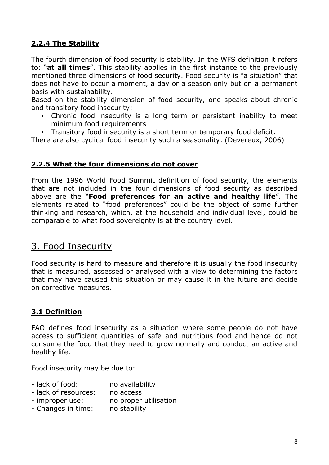## **2.2.4 The Stability**

The fourth dimension of food security is stability. In the WFS definition it refers to: "**at all times**". This stability applies in the first instance to the previously mentioned three dimensions of food security. Food security is "a situation" that does not have to occur a moment, a day or a season only but on a permanent basis with sustainability.

Based on the stability dimension of food security, one speaks about chronic and transitory food insecurity:

- Chronic food insecurity is a long term or persistent inability to meet minimum food requirements
- Transitory food insecurity is a short term or temporary food deficit.

There are also cyclical food insecurity such a seasonality. (Devereux, 2006)

### **2.2.5 What the four dimensions do not cover**

From the 1996 World Food Summit definition of food security, the elements that are not included in the four dimensions of food security as described above are the "**Food preferences for an active and healthy life**". The elements related to "food preferences" could be the object of some further thinking and research, which, at the household and individual level, could be comparable to what food sovereignty is at the country level.

## 3. Food Insecurity

Food security is hard to measure and therefore it is usually the food insecurity that is measured, assessed or analysed with a view to determining the factors that may have caused this situation or may cause it in the future and decide on corrective measures.

### **3.1 Definition**

FAO defines food insecurity as a situation where some people do not have access to sufficient quantities of safe and nutritious food and hence do not consume the food that they need to grow normally and conduct an active and healthy life.

Food insecurity may be due to:

- lack of food: no availability
- lack of resources: no access
- improper use: no proper utilisation
- Changes in time: no stability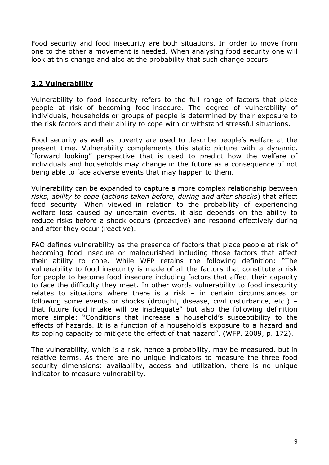Food security and food insecurity are both situations. In order to move from one to the other a movement is needed. When analysing food security one will look at this change and also at the probability that such change occurs.

## **3.2 Vulnerability**

Vulnerability to food insecurity refers to the full range of factors that place people at risk of becoming food-insecure. The degree of vulnerability of individuals, households or groups of people is determined by their exposure to the risk factors and their ability to cope with or withstand stressful situations.

Food security as well as poverty are used to describe people's welfare at the present time. Vulnerability complements this static picture with a dynamic, "forward looking" perspective that is used to predict how the welfare of individuals and households may change in the future as a consequence of not being able to face adverse events that may happen to them.

Vulnerability can be expanded to capture a more complex relationship between *risks*, *ability to cope* (*actions taken before, during and after shocks*) that affect food security. When viewed in relation to the probability of experiencing welfare loss caused by uncertain events, it also depends on the ability to reduce risks before a shock occurs (proactive) and respond effectively during and after they occur (reactive).

FAO defines vulnerability as the presence of factors that place people at risk of becoming food insecure or malnourished including those factors that affect their ability to cope. While WFP retains the following definition: "The vulnerability to food insecurity is made of all the factors that constitute a risk for people to become food insecure including factors that affect their capacity to face the difficulty they meet. In other words vulnerability to food insecurity relates to situations where there is a risk – in certain circumstances or following some events or shocks (drought, disease, civil disturbance, etc.) – that future food intake will be inadequate" but also the following definition more simple: "Conditions that increase a household's susceptibility to the effects of hazards. It is a function of a household's exposure to a hazard and its coping capacity to mitigate the effect of that hazard". (WFP, 2009, p. 172).

The vulnerability, which is a risk, hence a probability, may be measured, but in relative terms. As there are no unique indicators to measure the three food security dimensions: availability, access and utilization, there is no unique indicator to measure vulnerability.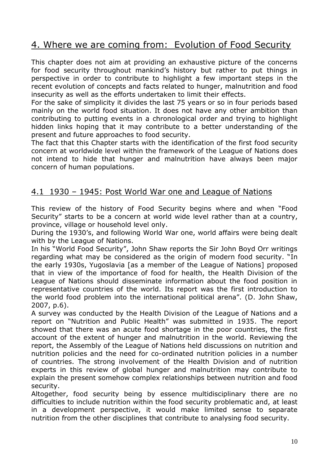# 4. Where we are coming from: Evolution of Food Security

This chapter does not aim at providing an exhaustive picture of the concerns for food security throughout mankind's history but rather to put things in perspective in order to contribute to highlight a few important steps in the recent evolution of concepts and facts related to hunger, malnutrition and food insecurity as well as the efforts undertaken to limit their effects.

For the sake of simplicity it divides the last 75 years or so in four periods based mainly on the world food situation. It does not have any other ambition than contributing to putting events in a chronological order and trying to highlight hidden links hoping that it may contribute to a better understanding of the present and future approaches to food security.

The fact that this Chapter starts with the identification of the first food security concern at worldwide level within the framework of the League of Nations does not intend to hide that hunger and malnutrition have always been major concern of human populations.

## 4.1 1930 – 1945: Post World War one and League of Nations

This review of the history of Food Security begins where and when "Food Security" starts to be a concern at world wide level rather than at a country, province, village or household level only.

During the 1930's, and following World War one, world affairs were being dealt with by the League of Nations.

In his "World Food Security", John Shaw reports the Sir John Boyd Orr writings regarding what may be considered as the origin of modern food security. "In the early 1930s, Yugoslavia [as a member of the League of Nations] proposed that in view of the importance of food for health, the Health Division of the League of Nations should disseminate information about the food position in representative countries of the world. Its report was the first introduction to the world food problem into the international political arena". (D. John Shaw, 2007, p.6).

A survey was conducted by the Health Division of the League of Nations and a report on "Nutrition and Public Health" was submitted in 1935. The report showed that there was an acute food shortage in the poor countries, the first account of the extent of hunger and malnutrition in the world. Reviewing the report, the Assembly of the League of Nations held discussions on nutrition and nutrition policies and the need for co-ordinated nutrition policies in a number of countries. The strong involvement of the Health Division and of nutrition experts in this review of global hunger and malnutrition may contribute to explain the present somehow complex relationships between nutrition and food security.

Altogether, food security being by essence multidisciplinary there are no difficulties to include nutrition within the food security problematic and, at least in a development perspective, it would make limited sense to separate nutrition from the other disciplines that contribute to analysing food security.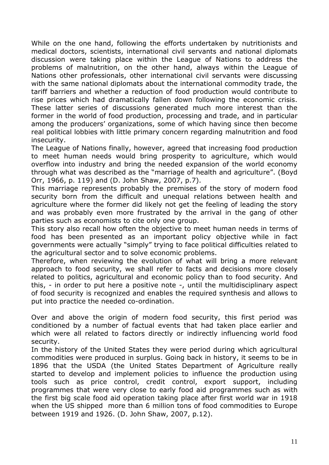While on the one hand, following the efforts undertaken by nutritionists and medical doctors, scientists, international civil servants and national diplomats discussion were taking place within the League of Nations to address the problems of malnutrition, on the other hand, always within the League of Nations other professionals, other international civil servants were discussing with the same national diplomats about the international commodity trade, the tariff barriers and whether a reduction of food production would contribute to rise prices which had dramatically fallen down following the economic crisis. These latter series of discussions generated much more interest than the former in the world of food production, processing and trade, and in particular among the producers' organizations, some of which having since then become real political lobbies with little primary concern regarding malnutrition and food insecurity.

The League of Nations finally, however, agreed that increasing food production to meet human needs would bring prosperity to agriculture, which would overflow into industry and bring the needed expansion of the world economy through what was described as the "marriage of health and agriculture". (Boyd Orr, 1966, p. 119) and (D. John Shaw, 2007, p.7).

This marriage represents probably the premises of the story of modern food security born from the difficult and unequal relations between health and agriculture where the former did likely not get the feeling of leading the story and was probably even more frustrated by the arrival in the gang of other parties such as economists to cite only one group.

This story also recall how often the objective to meet human needs in terms of food has been presented as an important policy objective while in fact governments were actually "simply" trying to face political difficulties related to the agricultural sector and to solve economic problems.

Therefore, when reviewing the evolution of what will bring a more relevant approach to food security, we shall refer to facts and decisions more closely related to politics, agricultural and economic policy than to food security. And this, - in order to put here a positive note -, until the multidisciplinary aspect of food security is recognized and enables the required synthesis and allows to put into practice the needed co-ordination.

Over and above the origin of modern food security, this first period was conditioned by a number of factual events that had taken place earlier and which were all related to factors directly or indirectly influencing world food security.

In the history of the United States they were period during which agricultural commodities were produced in surplus. Going back in history, it seems to be in 1896 that the USDA (the United States Department of Agriculture really started to develop and implement policies to influence the production using tools such as price control, credit control, export support, including programmes that were very close to early food aid programmes such as with the first big scale food aid operation taking place after first world war in 1918 when the US shipped more than 6 million tons of food commodities to Europe between 1919 and 1926. (D. John Shaw, 2007, p.12).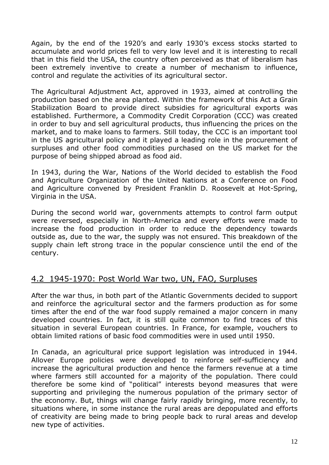Again, by the end of the 1920's and early 1930's excess stocks started to accumulate and world prices fell to very low level and it is interesting to recall that in this field the USA, the country often perceived as that of liberalism has been extremely inventive to create a number of mechanism to influence, control and regulate the activities of its agricultural sector.

The Agricultural Adjustment Act, approved in 1933, aimed at controlling the production based on the area planted. Within the framework of this Act a Grain Stabilization Board to provide direct subsidies for agricultural exports was established. Furthermore, a Commodity Credit Corporation (CCC) was created in order to buy and sell agricultural products, thus influencing the prices on the market, and to make loans to farmers. Still today, the CCC is an important tool in the US agricultural policy and it played a leading role in the procurement of surpluses and other food commodities purchased on the US market for the purpose of being shipped abroad as food aid.

In 1943, during the War, Nations of the World decided to establish the Food and Agriculture Organization of the United Nations at a Conference on Food and Agriculture convened by President Franklin D. Roosevelt at Hot-Spring, Virginia in the USA.

During the second world war, governments attempts to control farm output were reversed, especially in North-America and every efforts were made to increase the food production in order to reduce the dependency towards outside as, due to the war, the supply was not ensured. This breakdown of the supply chain left strong trace in the popular conscience until the end of the century.

## 4.2 1945-1970: Post World War two, UN, FAO, Surpluses

After the war thus, in both part of the Atlantic Governments decided to support and reinforce the agricultural sector and the farmers production as for some times after the end of the war food supply remained a major concern in many developed countries. In fact, it is still quite common to find traces of this situation in several European countries. In France, for example, vouchers to obtain limited rations of basic food commodities were in used until 1950.

In Canada, an agricultural price support legislation was introduced in 1944. Allover Europe policies were developed to reinforce self-sufficiency and increase the agricultural production and hence the farmers revenue at a time where farmers still accounted for a majority of the population. There could therefore be some kind of "political" interests beyond measures that were supporting and privileging the numerous population of the primary sector of the economy. But, things will change fairly rapidly bringing, more recently, to situations where, in some instance the rural areas are depopulated and efforts of creativity are being made to bring people back to rural areas and develop new type of activities.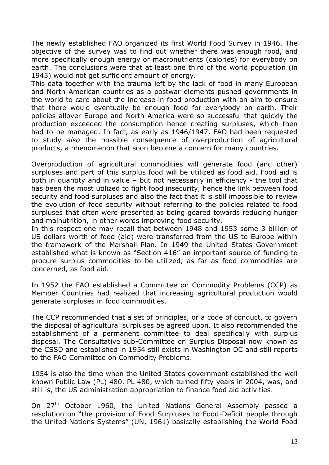The newly established FAO organized its first World Food Survey in 1946. The objective of the survey was to find out whether there was enough food, and more specifically enough energy or macronutrients (calories) for everybody on earth. The conclusions were that at least one third of the world population (in 1945) would not get sufficient amount of energy.

This data together with the trauma left by the lack of food in many European and North American countries as a postwar elements pushed governments in the world to care about the increase in food production with an aim to ensure that there would eventually be enough food for everybody on earth. Their policies allover Europe and North-America were so successful that quickly the production exceeded the consumption hence creating surpluses, which then had to be managed. In fact, as early as 1946/1947, FAO had been requested to study *also* the possible consequence of overproduction of agricultural products, a phenomenon that soon become a concern for many countries.

Overproduction of agricultural commodities will generate food (and other) surpluses and part of this surplus food will be utilized as food aid. Food aid is both in quantity and in value – but not necessarily in efficiency - the tool that has been the most utilized to fight food insecurity, hence the link between food security and food surpluses and also the fact that it is still impossible to review the evolution of food security without referring to the policies related to food surpluses that often were presented as being geared towards reducing hunger and malnutrition, in other words improving food security.

In this respect one may recall that between 1948 and 1953 some 3 billion of US dollars worth of food (aid) were transferred from the US to Europe within the framework of the Marshall Plan. In 1949 the United States Government established what is known as "Section 416" an important source of funding to procure surplus commodities to be utilized, as far as food commodities are concerned, as food aid.

In 1952 the FAO established a Committee on Commodity Problems (CCP) as Member Countries had realized that increasing agricultural production would generate surpluses in food commodities.

The CCP recommended that a set of principles, or a code of conduct, to govern the disposal of agricultural surpluses be agreed upon. It also recommended the establishment of a permanent committee to deal specifically with surplus disposal. The Consultative sub-Committee on Surplus Disposal now known as the CSSD and established in 1954 still exists in Washington DC and still reports to the FAO Committee on Commodity Problems.

1954 is also the time when the United States government established the well known Public Law (PL) 480. PL 480, which turned fifty years in 2004, was, and still is, the US administration appropriation to finance food aid activities.

On  $27<sup>th</sup>$  October 1960, the United Nations General Assembly passed a resolution on "the provision of Food Surpluses to Food-Deficit people through the United Nations Systems" (UN, 1961) basically establishing the World Food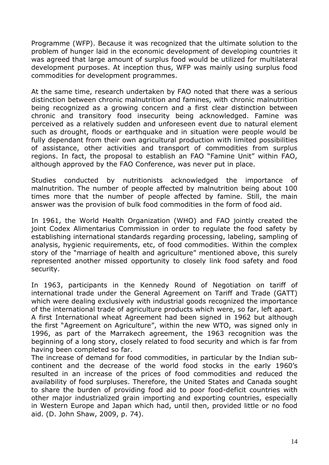Programme (WFP). Because it was recognized that the ultimate solution to the problem of hunger laid in the economic development of developing countries it was agreed that large amount of surplus food would be utilized for multilateral development purposes. At inception thus, WFP was mainly using surplus food commodities for development programmes.

At the same time, research undertaken by FAO noted that there was a serious distinction between chronic malnutrition and famines, with chronic malnutrition being recognized as a growing concern and a first clear distinction between chronic and transitory food insecurity being acknowledged. Famine was perceived as a relatively sudden and unforeseen event due to natural element such as drought, floods or earthquake and in situation were people would be fully dependant from their own agricultural production with limited possibilities of assistance, other activities and transport of commodities from surplus regions. In fact, the proposal to establish an FAO "Famine Unit" within FAO, although approved by the FAO Conference, was never put in place.

Studies conducted by nutritionists acknowledged the importance of malnutrition. The number of people affected by malnutrition being about 100 times more that the number of people affected by famine. Still, the main answer was the provision of bulk food commodities in the form of food aid.

In 1961, the World Health Organization (WHO) and FAO jointly created the joint Codex Alimentarius Commission in order to regulate the food safety by establishing international standards regarding processing, labeling, sampling of analysis, hygienic requirements, etc, of food commodities. Within the complex story of the "marriage of health and agriculture" mentioned above, this surely represented another missed opportunity to closely link food safety and food security.

In 1963, participants in the Kennedy Round of Negotiation on tariff of international trade under the General Agreement on Tariff and Trade (GATT) which were dealing exclusively with industrial goods recognized the importance of the international trade of agriculture products which were, so far, left apart.

A first International wheat Agreement had been signed in 1962 but although the first "Agreement on Agriculture", within the new WTO, was signed only in 1996, as part of the Marrakech agreement, the 1963 recognition was the beginning of a long story, closely related to food security and which is far from having been completed so far.

The increase of demand for food commodities, in particular by the Indian subcontinent and the decrease of the world food stocks in the early 1960's resulted in an increase of the prices of food commodities and reduced the availability of food surpluses. Therefore, the United States and Canada sought to share the burden of providing food aid to poor food-deficit countries with other major industrialized grain importing and exporting countries, especially in Western Europe and Japan which had, until then, provided little or no food aid. (D. John Shaw, 2009, p. 74).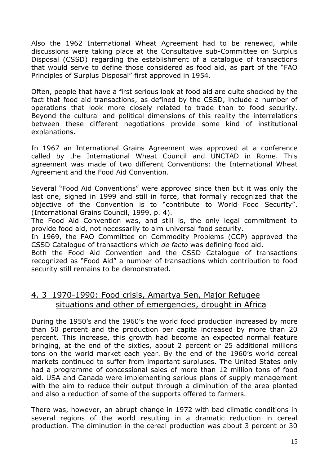Also the 1962 International Wheat Agreement had to be renewed, while discussions were taking place at the Consultative sub-Committee on Surplus Disposal (CSSD) regarding the establishment of a catalogue of transactions that would serve to define those considered as food aid, as part of the "FAO Principles of Surplus Disposal" first approved in 1954.

Often, people that have a first serious look at food aid are quite shocked by the fact that food aid transactions, as defined by the CSSD, include a number of operations that look more closely related to trade than to food security. Beyond the cultural and political dimensions of this reality the interrelations between these different negotiations provide some kind of institutional explanations.

In 1967 an International Grains Agreement was approved at a conference called by the International Wheat Council and UNCTAD in Rome. This agreement was made of two different Conventions: the International Wheat Agreement and the Food Aid Convention.

Several "Food Aid Conventions" were approved since then but it was only the last one, signed in 1999 and still in force, that formally recognized that the objective of the Convention is to "contribute to World Food Security". (International Grains Council, 1999, p. 4).

The Food Aid Convention was, and still is, the only legal commitment to provide food aid, not necessarily to aim universal food security.

In 1969, the FAO Committee on Commodity Problems (CCP) approved the CSSD Catalogue of transactions which *de facto* was defining food aid.

Both the Food Aid Convention and the CSSD Catalogue of transactions recognized as "Food Aid" a number of transactions which contribution to food security still remains to be demonstrated.

## 4. 3 1970-1990: Food crisis, Amartya Sen, Major Refugee situations and other of emergencies, drought in Africa

During the 1950's and the 1960's the world food production increased by more than 50 percent and the production per capita increased by more than 20 percent. This increase, this growth had become an expected normal feature bringing, at the end of the sixties, about 2 percent or 25 additional millions tons on the world market each year. By the end of the 1960's world cereal markets continued to suffer from important surpluses. The United States only had a programme of concessional sales of more than 12 million tons of food aid. USA and Canada were implementing serious plans of supply management with the aim to reduce their output through a diminution of the area planted and also a reduction of some of the supports offered to farmers.

There was, however, an abrupt change in 1972 with bad climatic conditions in several regions of the world resulting in a dramatic reduction in cereal production. The diminution in the cereal production was about 3 percent or 30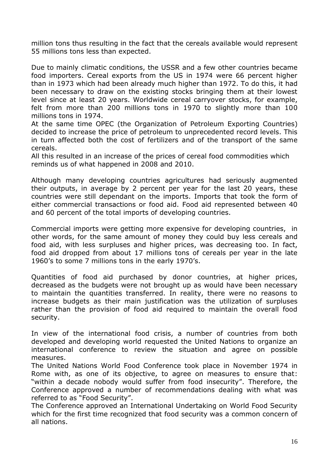million tons thus resulting in the fact that the cereals available would represent 55 millions tons less than expected.

Due to mainly climatic conditions, the USSR and a few other countries became food importers. Cereal exports from the US in 1974 were 66 percent higher than in 1973 which had been already much higher than 1972. To do this, it had been necessary to draw on the existing stocks bringing them at their lowest level since at least 20 years. Worldwide cereal carryover stocks, for example, felt from more than 200 millions tons in 1970 to slightly more than 100 millions tons in 1974.

At the same time OPEC (the Organization of Petroleum Exporting Countries) decided to increase the price of petroleum to unprecedented record levels. This in turn affected both the cost of fertilizers and of the transport of the same cereals.

All this resulted in an increase of the prices of cereal food commodities which reminds us of what happened in 2008 and 2010.

Although many developing countries agricultures had seriously augmented their outputs, in average by 2 percent per year for the last 20 years, these countries were still dependant on the imports. Imports that took the form of either commercial transactions or food aid. Food aid represented between 40 and 60 percent of the total imports of developing countries.

Commercial imports were getting more expensive for developing countries, in other words, for the same amount of money they could buy less cereals and food aid, with less surpluses and higher prices, was decreasing too. In fact, food aid dropped from about 17 millions tons of cereals per year in the late 1960's to some 7 millions tons in the early 1970's.

Quantities of food aid purchased by donor countries, at higher prices, decreased as the budgets were not brought up as would have been necessary to maintain the quantities transferred. In reality, there were no reasons to increase budgets as their main justification was the utilization of surpluses rather than the provision of food aid required to maintain the overall food security.

In view of the international food crisis, a number of countries from both developed and developing world requested the United Nations to organize an international conference to review the situation and agree on possible measures.

The United Nations World Food Conference took place in November 1974 in Rome with, as one of its objective, to agree on measures to ensure that: "within a decade nobody would suffer from food insecurity". Therefore, the Conference approved a number of recommendations dealing with what was referred to as "Food Security".

The Conference approved an International Undertaking on World Food Security which for the first time recognized that food security was a common concern of all nations.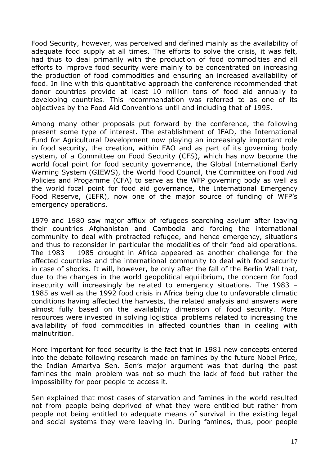Food Security, however, was perceived and defined mainly as the availability of adequate food supply at all times. The efforts to solve the crisis, it was felt, had thus to deal primarily with the production of food commodities and all efforts to improve food security were mainly to be concentrated on increasing the production of food commodities and ensuring an increased availability of food. In line with this quantitative approach the conference recommended that donor countries provide at least 10 million tons of food aid annually to developing countries. This recommendation was referred to as one of its objectives by the Food Aid Conventions until and including that of 1995.

Among many other proposals put forward by the conference, the following present some type of interest. The establishment of IFAD, the International Fund for Agricultural Development now playing an increasingly important role in food security, the creation, within FAO and as part of its governing body system, of a Committee on Food Security (CFS), which has now become the world focal point for food security governance, the Global International Early Warning System (GIEWS), the World Food Council, the Committee on Food Aid Policies and Progamme (CFA) to serve as the WFP governing body as well as the world focal point for food aid governance, the International Emergency Food Reserve, (IEFR), now one of the major source of funding of WFP's emergency operations.

1979 and 1980 saw major afflux of refugees searching asylum after leaving their countries Afghanistan and Cambodia and forcing the international community to deal with protracted refugee, and hence emergency, situations and thus to reconsider in particular the modalities of their food aid operations. The 1983 – 1985 drought in Africa appeared as another challenge for the affected countries and the international community to deal with food security in case of shocks. It will, however, be only after the fall of the Berlin Wall that, due to the changes in the world geopolitical equilibrium, the concern for food insecurity will increasingly be related to emergency situations. The 1983 – 1985 as well as the 1992 food crisis in Africa being due to unfavorable climatic conditions having affected the harvests, the related analysis and answers were almost fully based on the availability dimension of food security. More resources were invested in solving logistical problems related to increasing the availability of food commodities in affected countries than in dealing with malnutrition.

More important for food security is the fact that in 1981 new concepts entered into the debate following research made on famines by the future Nobel Price, the Indian Amartya Sen. Sen's major argument was that during the past famines the main problem was not so much the lack of food but rather the impossibility for poor people to access it.

Sen explained that most cases of starvation and famines in the world resulted not from people being deprived of what they were entitled but rather from people not being entitled to adequate means of survival in the existing legal and social systems they were leaving in. During famines, thus, poor people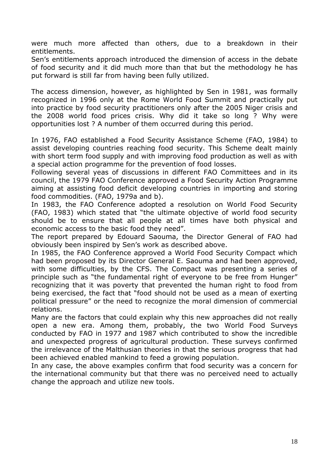were much more affected than others, due to a breakdown in their entitlements.

Sen's entitlements approach introduced the dimension of access in the debate of food security and it did much more than that but the methodology he has put forward is still far from having been fully utilized.

The access dimension, however, as highlighted by Sen in 1981, was formally recognized in 1996 only at the Rome World Food Summit and practically put into practice by food security practitioners only after the 2005 Niger crisis and the 2008 world food prices crisis. Why did it take so long ? Why were opportunities lost ? A number of them occurred during this period.

In 1976, FAO established a Food Security Assistance Scheme (FAO, 1984) to assist developing countries reaching food security. This Scheme dealt mainly with short term food supply and with improving food production as well as with a special action programme for the prevention of food losses.

Following several yeas of discussions in different FAO Committees and in its council, the 1979 FAO Conference approved a Food Security Action Programme aiming at assisting food deficit developing countries in importing and storing food commodities. (FAO, 1979a and b).

In 1983, the FAO Conference adopted a resolution on World Food Security (FAO, 1983) which stated that "the ultimate objective of world food security should be to ensure that all people at all times have both physical and economic access to the basic food they need".

The report prepared by Edouard Saouma, the Director General of FAO had obviously been inspired by Sen's work as described above.

In 1985, the FAO Conference approved a World Food Security Compact which had been proposed by its Director General E. Saouma and had been approved, with some difficulties, by the CFS. The Compact was presenting a series of principle such as "the fundamental right of everyone to be free from Hunger" recognizing that it was poverty that prevented the human right to food from being exercised, the fact that "food should not be used as a mean of exerting political pressure" or the need to recognize the moral dimension of commercial relations.

Many are the factors that could explain why this new approaches did not really open a new era. Among them, probably, the two World Food Surveys conducted by FAO in 1977 and 1987 which contributed to show the incredible and unexpected progress of agricultural production. These surveys confirmed the irrelevance of the Malthusian theories in that the serious progress that had been achieved enabled mankind to feed a growing population.

In any case, the above examples confirm that food security was a concern for the international community but that there was no perceived need to actually change the approach and utilize new tools.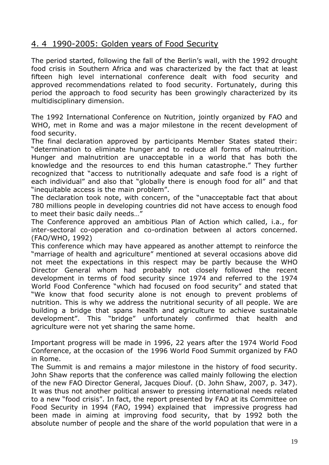## 4. 4 1990-2005: Golden years of Food Security

The period started, following the fall of the Berlin's wall, with the 1992 drought food crisis in Southern Africa and was characterized by the fact that at least fifteen high level international conference dealt with food security and approved recommendations related to food security. Fortunately, during this period the approach to food security has been growingly characterized by its multidisciplinary dimension.

The 1992 International Conference on Nutrition, jointly organized by FAO and WHO, met in Rome and was a major milestone in the recent development of food security.

The final declaration approved by participants Member States stated their: "determination to eliminate hunger and to reduce all forms of malnutrition. Hunger and malnutrition are unacceptable in a world that has both the knowledge and the resources to end this human catastrophe." They further recognized that "access to nutritionally adequate and safe food is a right of each individual" and also that "globally there is enough food for all" and that "inequitable access is the main problem".

The declaration took note, with concern, of the "unacceptable fact that about 780 millions people in developing countries did not have access to enough food to meet their basic daily needs…"

The Conference approved an ambitious Plan of Action which called, i.a., for inter-sectoral co-operation and co-ordination between al actors concerned. (FAO/WHO, 1992)

This conference which may have appeared as another attempt to reinforce the "marriage of health and agriculture" mentioned at several occasions above did not meet the expectations in this respect may be partly because the WHO Director General whom had probably not closely followed the recent development in terms of food security since 1974 and referred to the 1974 World Food Conference "which had focused on food security" and stated that "We know that food security alone is not enough to prevent problems of nutrition. This is why we address the nutritional security of all people. We are building a bridge that spans health and agriculture to achieve sustainable development". This "bridge" unfortunately confirmed that health and agriculture were not yet sharing the same home.

Important progress will be made in 1996, 22 years after the 1974 World Food Conference, at the occasion of the 1996 World Food Summit organized by FAO in Rome.

The Summit is and remains a major milestone in the history of food security. John Shaw reports that the conference was called mainly following the election of the new FAO Director General, Jacques Diouf. (D. John Shaw, 2007, p. 347). It was thus not another political answer to pressing international needs related to a new "food crisis". In fact, the report presented by FAO at its Committee on Food Security in 1994 (FAO, 1994) explained that impressive progress had been made in aiming at improving food security, that by 1992 both the absolute number of people and the share of the world population that were in a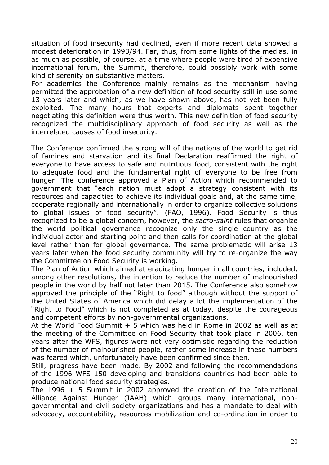situation of food insecurity had declined, even if more recent data showed a modest deterioration in 1993/94. Far, thus, from some lights of the medias, in as much as possible, of course, at a time where people were tired of expensive international forum, the Summit, therefore, could possibly work with some kind of serenity on substantive matters.

For academics the Conference mainly remains as the mechanism having permitted the approbation of a new definition of food security still in use some 13 years later and which, as we have shown above, has not yet been fully exploited. The many hours that experts and diplomats spent together negotiating this definition were thus worth. This new definition of food security recognized the multidisciplinary approach of food security as well as the interrelated causes of food insecurity.

The Conference confirmed the strong will of the nations of the world to get rid of famines and starvation and its final Declaration reaffirmed the right of everyone to have access to safe and nutritious food, consistent with the right to adequate food and the fundamental right of everyone to be free from hunger. The conference approved a Plan of Action which recommended to government that "each nation must adopt a strategy consistent with its resources and capacities to achieve its individual goals and, at the same time, cooperate regionally and internationally in order to organize collective solutions to global issues of food security". (FAO, 1996). Food Security is thus recognized to be a global concern, however, the *sacro-saint* rules that organize the world political governance recognize only the single country as the individual actor and starting point and then calls for coordination at the global level rather than for global governance. The same problematic will arise 13 years later when the food security community will try to re-organize the way the Committee on Food Security is working.

The Plan of Action which aimed at eradicating hunger in all countries, included, among other resolutions, the intention to reduce the number of malnourished people in the world by half not later than 2015. The Conference also somehow approved the principle of the "Right to food" although without the support of the United States of America which did delay a lot the implementation of the "Right to Food" which is not completed as at today, despite the courageous and competent efforts by non-governmental organizations.

At the World Food Summit + 5 which was held in Rome in 2002 as well as at the meeting of the Committee on Food Security that took place in 2006, ten years after the WFS, figures were not very optimistic regarding the reduction of the number of malnourished people, rather some increase in these numbers was feared which, unfortunately have been confirmed since then.

Still, progress have been made. By 2002 and following the recommendations of the 1996 WFS 150 developing and transitions countries had been able to produce national food security strategies.

The 1996 + 5 Summit in 2002 approved the creation of the International Alliance Against Hunger (IAAH) which groups many international, nongovernmental and civil society organizations and has a mandate to deal with advocacy, accountability, resources mobilization and co-ordination in order to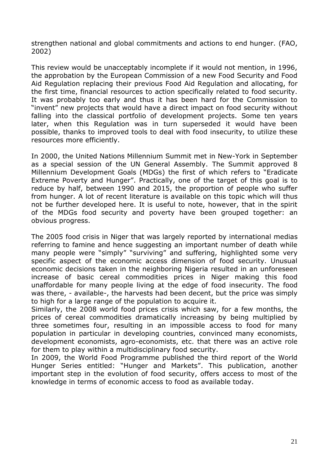strengthen national and global commitments and actions to end hunger. (FAO, 2002)

This review would be unacceptably incomplete if it would not mention, in 1996, the approbation by the European Commission of a new Food Security and Food Aid Regulation replacing their previous Food Aid Regulation and allocating, for the first time, financial resources to action specifically related to food security. It was probably too early and thus it has been hard for the Commission to "invent" new projects that would have a direct impact on food security without falling into the classical portfolio of development projects. Some ten years later, when this Regulation was in turn superseded it would have been possible, thanks to improved tools to deal with food insecurity, to utilize these resources more efficiently.

In 2000, the United Nations Millennium Summit met in New-York in September as a special session of the UN General Assembly. The Summit approved 8 Millennium Development Goals (MDGs) the first of which refers to "Eradicate Extreme Poverty and Hunger". Practically, one of the target of this goal is to reduce by half, between 1990 and 2015, the proportion of people who suffer from hunger. A lot of recent literature is available on this topic which will thus not be further developed here. It is useful to note, however, that in the spirit of the MDGs food security and poverty have been grouped together: an obvious progress.

The 2005 food crisis in Niger that was largely reported by international medias referring to famine and hence suggesting an important number of death while many people were "simply" "surviving" and suffering, highlighted some very specific aspect of the economic access dimension of food security. Unusual economic decisions taken in the neighboring Nigeria resulted in an unforeseen increase of basic cereal commodities prices in Niger making this food unaffordable for many people living at the edge of food insecurity. The food was there, - available-, the harvests had been decent, but the price was simply to high for a large range of the population to acquire it.

Similarly, the 2008 world food prices crisis which saw, for a few months, the prices of cereal commodities dramatically increasing by being multiplied by three sometimes four, resulting in an impossible access to food for many population in particular in developing countries, convinced many economists, development economists, agro-economists, etc. that there was an active role for them to play within a multidisciplinary food security.

In 2009, the World Food Programme published the third report of the World Hunger Series entitled: "Hunger and Markets". This publication, another important step in the evolution of food security, offers access to most of the knowledge in terms of economic access to food as available today.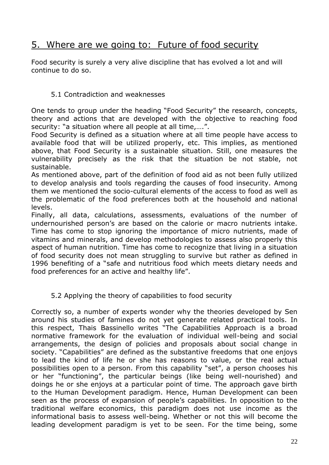# 5. Where are we going to: Future of food security

Food security is surely a very alive discipline that has evolved a lot and will continue to do so.

### 5.1 Contradiction and weaknesses

One tends to group under the heading "Food Security" the research, concepts, theory and actions that are developed with the objective to reaching food security: "a situation where all people at all time,….".

Food Security is defined as a situation where at all time people have access to available food that will be utilized properly, etc. This implies, as mentioned above, that Food Security is a sustainable situation. Still, one measures the vulnerability precisely as the risk that the situation be not stable, not sustainable.

As mentioned above, part of the definition of food aid as not been fully utilized to develop analysis and tools regarding the causes of food insecurity. Among them we mentioned the socio-cultural elements of the access to food as well as the problematic of the food preferences both at the household and national levels.

Finally, all data, calculations, assessments, evaluations of the number of undernourished person's are based on the calorie or macro nutrients intake. Time has come to stop ignoring the importance of micro nutrients, made of vitamins and minerals, and develop methodologies to assess also properly this aspect of human nutrition. Time has come to recognize that living in a situation of food security does not mean struggling to survive but rather as defined in 1996 benefiting of a "safe and nutritious food which meets dietary needs and food preferences for an active and healthy life".

### 5.2 Applying the theory of capabilities to food security

Correctly so, a number of experts wonder why the theories developed by Sen around his studies of famines do not yet generate related practical tools. In this respect, Thais Bassinello writes "The Capabilities Approach is a broad normative framework for the evaluation of individual well-being and social arrangements, the design of policies and proposals about social change in society. "Capabilities" are defined as the substantive freedoms that one enjoys to lead the kind of life he or she has reasons to value, or the real actual possibilities open to a person. From this capability "set", a person chooses his or her "functioning", the particular beings (like being well-nourished) and doings he or she enjoys at a particular point of time. The approach gave birth to the Human Development paradigm. Hence, Human Development can been seen as the process of expansion of people's capabilities. In opposition to the traditional welfare economics, this paradigm does not use income as the informational basis to assess well-being. Whether or not this will become the leading development paradigm is yet to be seen. For the time being, some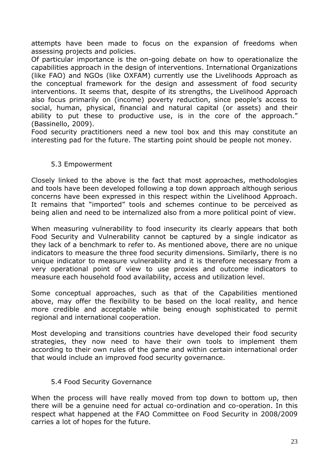attempts have been made to focus on the expansion of freedoms when assessing projects and policies.

Of particular importance is the on-going debate on how to operationalize the capabilities approach in the design of interventions. International Organizations (like FAO) and NGOs (like OXFAM) currently use the Livelihoods Approach as the conceptual framework for the design and assessment of food security interventions. It seems that, despite of its strengths, the Livelihood Approach also focus primarily on (income) poverty reduction, since people's access to social, human, physical, financial and natural capital (or assets) and their ability to put these to productive use, is in the core of the approach." (Bassinello, 2009).

Food security practitioners need a new tool box and this may constitute an interesting pad for the future. The starting point should be people not money.

### 5.3 Empowerment

Closely linked to the above is the fact that most approaches, methodologies and tools have been developed following a top down approach although serious concerns have been expressed in this respect within the Livelihood Approach. It remains that "imported" tools and schemes continue to be perceived as being alien and need to be internalized also from a more political point of view.

When measuring vulnerability to food insecurity its clearly appears that both Food Security and Vulnerability cannot be captured by a single indicator as they lack of a benchmark to refer to. As mentioned above, there are no unique indicators to measure the three food security dimensions. Similarly, there is no unique indicator to measure vulnerability and it is therefore necessary from a very operational point of view to use proxies and outcome indicators to measure each household food availability, access and utilization level.

Some conceptual approaches, such as that of the Capabilities mentioned above, may offer the flexibility to be based on the local reality, and hence more credible and acceptable while being enough sophisticated to permit regional and international cooperation.

Most developing and transitions countries have developed their food security strategies, they now need to have their own tools to implement them according to their own rules of the game and within certain international order that would include an improved food security governance.

#### 5.4 Food Security Governance

When the process will have really moved from top down to bottom up, then there will be a genuine need for actual co-ordination and co-operation. In this respect what happened at the FAO Committee on Food Security in 2008/2009 carries a lot of hopes for the future.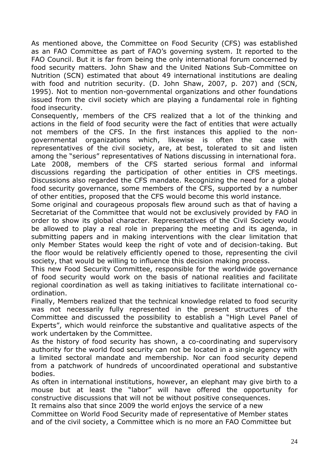As mentioned above, the Committee on Food Security (CFS) was established as an FAO Committee as part of FAO's governing system. It reported to the FAO Council. But it is far from being the only international forum concerned by food security matters. John Shaw and the United Nations Sub-Committee on Nutrition (SCN) estimated that about 49 international institutions are dealing with food and nutrition security. (D. John Shaw, 2007, p. 207) and (SCN, 1995). Not to mention non-governmental organizations and other foundations issued from the civil society which are playing a fundamental role in fighting food insecurity.

Consequently, members of the CFS realized that a lot of the thinking and actions in the field of food security were the fact of entities that were actually not members of the CFS. In the first instances this applied to the nongovernmental organizations which, likewise is often the case with representatives of the civil society, are, at best, tolerated to sit and listen among the "serious" representatives of Nations discussing in international fora. Late 2008, members of the CFS started serious formal and informal discussions regarding the participation of other entities in CFS meetings. Discussions also regarded the CFS mandate. Recognizing the need for a global food security governance, some members of the CFS, supported by a number

of other entities, proposed that the CFS would become this world instance.

Some original and courageous proposals flew around such as that of having a Secretariat of the Committee that would not be exclusively provided by FAO in order to show its global character. Representatives of the Civil Society would be allowed to play a real role in preparing the meeting and its agenda, in submitting papers and in making interventions with the clear limitation that only Member States would keep the right of vote and of decision-taking. But the floor would be relatively efficiently opened to those, representing the civil society, that would be willing to influence this decision making process.

This new Food Security Committee, responsible for the worldwide governance of food security would work on the basis of national realities and facilitate regional coordination as well as taking initiatives to facilitate international coordination.

Finally, Members realized that the technical knowledge related to food security was not necessarily fully represented in the present structures of the Committee and discussed the possibility to establish a "High Level Panel of Experts", which would reinforce the substantive and qualitative aspects of the work undertaken by the Committee.

As the history of food security has shown, a co-coordinating and supervisory authority for the world food security can not be located in a single agency with a limited sectoral mandate and membership. Nor can food security depend from a patchwork of hundreds of uncoordinated operational and substantive bodies.

As often in international institutions, however, an elephant may give birth to a mouse but at least the "labor" will have offered the opportunity for constructive discussions that will not be without positive consequences.

It remains also that since 2009 the world enjoys the service of a new Committee on World Food Security made of representative of Member states and of the civil society, a Committee which is no more an FAO Committee but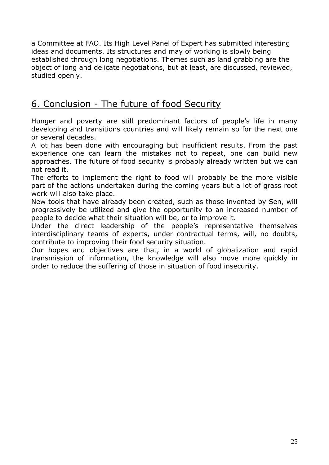a Committee at FAO. Its High Level Panel of Expert has submitted interesting ideas and documents. Its structures and may of working is slowly being established through long negotiations. Themes such as land grabbing are the object of long and delicate negotiations, but at least, are discussed, reviewed, studied openly.

# 6. Conclusion - The future of food Security

Hunger and poverty are still predominant factors of people's life in many developing and transitions countries and will likely remain so for the next one or several decades.

A lot has been done with encouraging but insufficient results. From the past experience one can learn the mistakes not to repeat, one can build new approaches. The future of food security is probably already written but we can not read it.

The efforts to implement the right to food will probably be the more visible part of the actions undertaken during the coming years but a lot of grass root work will also take place.

New tools that have already been created, such as those invented by Sen, will progressively be utilized and give the opportunity to an increased number of people to decide what their situation will be, or to improve it.

Under the direct leadership of the people's representative themselves interdisciplinary teams of experts, under contractual terms, will, no doubts, contribute to improving their food security situation.

Our hopes and objectives are that, in a world of globalization and rapid transmission of information, the knowledge will also move more quickly in order to reduce the suffering of those in situation of food insecurity.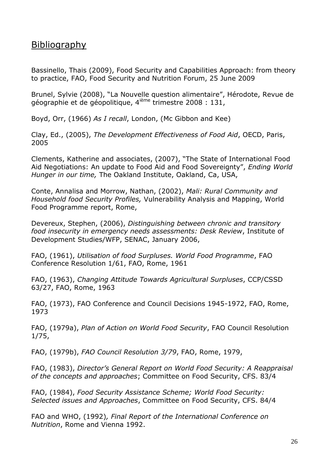## Bibliography

Bassinello, Thais (2009), Food Security and Capabilities Approach: from theory to practice, FAO, Food Security and Nutrition Forum, 25 June 2009

Brunel, Sylvie (2008), "La Nouvelle question alimentaire", Hérodote, Revue de géographie et de géopolitique, 4<sup>ième</sup> trimestre 2008 : 131,

Boyd, Orr, (1966) *As I recall*, London, (Mc Gibbon and Kee)

Clay, Ed., (2005), *The Development Effectiveness of Food Aid*, OECD, Paris, 2005

Clements, Katherine and associates, (2007), "The State of International Food Aid Negotiations: An update to Food Aid and Food Sovereignty", *Ending World Hunger in our time,* The Oakland Institute, Oakland, Ca, USA,

Conte, Annalisa and Morrow, Nathan, (2002), *Mali: Rural Community and Household food Security Profiles,* Vulnerability Analysis and Mapping, World Food Programme report, Rome,

Devereux, Stephen, (2006), *Distinguishing between chronic and transitory food insecurity in emergency needs assessments: Desk Review*, Institute of Development Studies/WFP, SENAC, January 2006,

FAO, (1961), *Utilisation of food Surpluses. World Food Programme*, FAO Conference Resolution 1/61, FAO, Rome, 1961

FAO, (1963), *Changing Attitude Towards Agricultural Surpluses*, CCP/CSSD 63/27, FAO, Rome, 1963

FAO, (1973), FAO Conference and Council Decisions 1945-1972, FAO, Rome, 1973

FAO, (1979a), *Plan of Action on World Food Security*, FAO Council Resolution 1/75,

FAO, (1979b), *FAO Council Resolution 3/79*, FAO, Rome, 1979,

FAO, (1983), *Director's General Report on World Food Security: A Reappraisal of the concepts and approaches*; Committee on Food Security, CFS. 83/4

FAO, (1984), *Food Security Assistance Scheme; World Food Security: Selected issues and Approaches*, Committee on Food Security, CFS. 84/4

FAO and WHO, (1992)*, Final Report of the International Conference on Nutrition*, Rome and Vienna 1992.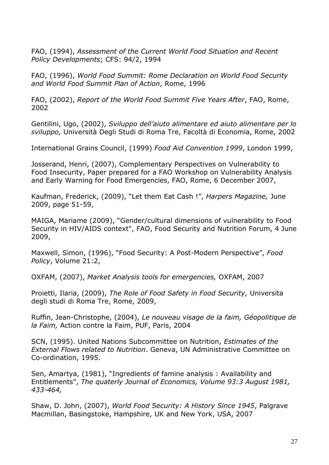FAO, (1994), *Assessment of the Current World Food Situation and Recent Policy Developments*; CFS: 94/2, 1994

FAO, (1996), *World Food Summit: Rome Declaration on World Food Security and World Food Summit Plan of Action*, Rome, 1996

FAO, (2002), *Report of the World Food Summit Five Years After*, FAO, Rome, 2002

Gentilini, Ugo, (2002), *Sviluppo dell'aiuto alimentare ed aiuto alimentare per lo sviluppo,* Università Degli Studi di Roma Tre, Facoltà di Economia, Rome, 2002

International Grains Council, (1999) *Food Aid Convention 1999*, London 1999,

Josserand, Henri, (2007), Complementary Perspectives on Vulnerability to Food Insecurity, Paper prepared for a FAO Workshop on Vulnerability Analysis and Early Warning for Food Emergencies, FAO, Rome, 6 December 2007,

Kaufman, Frederick, (2009), "Let them Eat Cash !", *Harpers Magazine,* June 2009, page 51-59,

MAIGA, Mariame (2009), "Gender/cultural dimensions of vulnerability to Food Security in HIV/AIDS context", FAO, Food Security and Nutrition Forum, 4 June 2009,

Maxwell, Simon, (1996), "Food Security: A Post-Modern Perspective", *Food Policy*, Volume 21:2,

OXFAM, (2007), *Market Analysis tools for emergencies,* OXFAM, 2007

Proietti, Ilaria, (2009), *The Role of Food Safety in Food Security,* Universita degli studi di Roma Tre, Rome, 2009,

Ruffin, Jean-Christophe, (2004), *Le nouveau visage de la faim, Géopolitique de la Faim,* Action contre la Faim, PUF, Paris, 2004

SCN, (1995). United Nations Subcommittee on Nutrition, *Estimates of the External Flows related to Nutrition*. Geneva, UN Administrative Committee on Co-ordination, 1995.

Sen, Amartya, (1981), "Ingredients of famine analysis : Availability and Entitlements", *The quaterly Journal of Economics, Volume 93:3 August 1981, 433-464,*

Shaw, D. John, (2007), *World Food Security: A History Since 1945*, Palgrave Macmillan, Basingstoke, Hampshire, UK and New York, USA, 2007